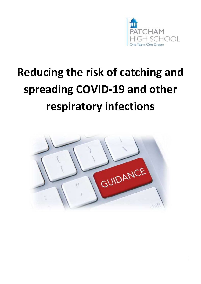

# **Reducing the risk of catching and spreading COVID-19 and other respiratory infections**

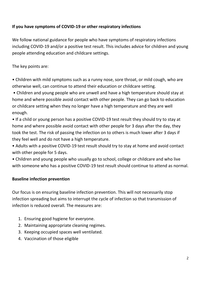## **If you have symptoms of COVID-19 or other respiratory infections**

We follow national guidance for people who have symptoms of respiratory infections including COVID-19 and/or a positive test result. This includes advice for children and young people attending education and childcare settings.

The key points are:

• Children with mild symptoms such as a runny nose, sore throat, or mild cough, who are otherwise well, can continue to attend their education or childcare setting.

• Children and young people who are unwell and have a high temperature should stay at home and where possible avoid contact with other people. They can go back to education or childcare setting when they no longer have a high temperature and they are well enough.

• If a child or young person has a positive COVID-19 test result they should try to stay at home and where possible avoid contact with other people for 3 days after the day, they took the test. The risk of passing the infection on to others is much lower after 3 days if they feel well and do not have a high temperature.

• Adults with a positive COVID-19 test result should try to stay at home and avoid contact with other people for 5 days.

• Children and young people who usually go to school, college or childcare and who live with someone who has a positive COVID-19 test result should continue to attend as normal.

## **Baseline infection prevention**

Our focus is on ensuring baseline infection prevention. This will not necessarily stop infection spreading but aims to interrupt the cycle of infection so that transmission of infection is reduced overall. The measures are:

- 1. Ensuring good hygiene for everyone.
- 2. Maintaining appropriate cleaning regimes.
- 3. Keeping occupied spaces well ventilated.
- 4. Vaccination of those eligible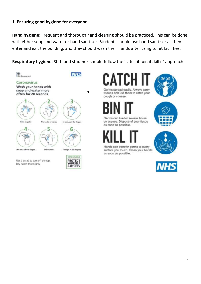## **1. Ensuring good hygiene for everyone.**

**Hand hygiene:** Frequent and thorough hand cleaning should be practiced. This can be done with either soap and water or hand sanitiser. Students should use hand sanitiser as they enter and exit the building, and they should wash their hands after using toilet facilities.

**Respiratory hygiene:** Staff and students should follow the 'catch it, bin it, kill it' approach.

**2.** 



Germs spread easily. Always carry



tissues and use them to catch your cough or sneeze.



Germs can live for several hours on tissues. Dispose of your tissue as soon as possible.





Hands can transfer germs to every surface you touch. Clean your hands as soon as possible.